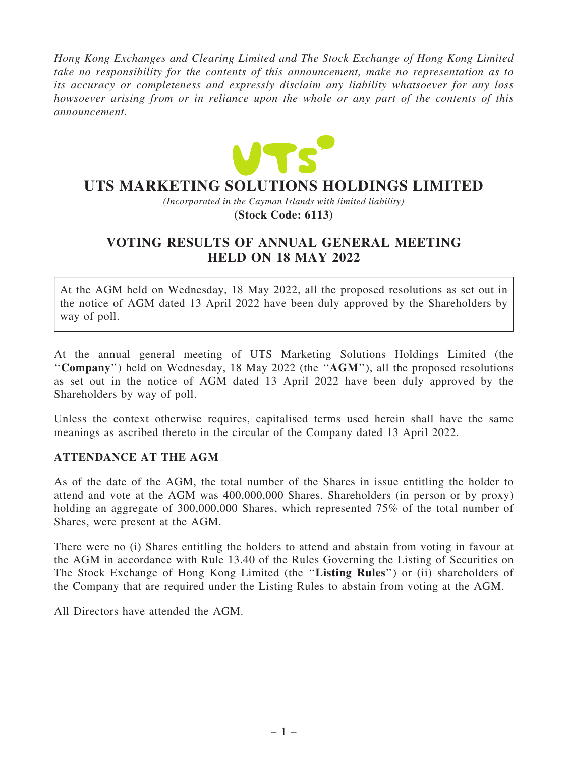*Hong Kong Exchanges and Clearing Limited and The Stock Exchange of Hong Kong Limited take no responsibility for the contents of this announcement, make no representation as to its accuracy or completeness and expressly disclaim any liability whatsoever for any loss howsoever arising from or in reliance upon the whole or any part of the contents of this announcement.*



# **UTS MARKETING SOLUTIONS HOLDINGS LIMITED**

*(Incorporated in the Cayman Islands with limited liability)* **(Stock Code: 6113)**

## VOTING RESULTS OF ANNUAL GENERAL MEETING HELD ON 18 MAY 2022

At the AGM held on Wednesday, 18 May 2022, all the proposed resolutions as set out in the notice of AGM dated 13 April 2022 have been duly approved by the Shareholders by way of poll.

At the annual general meeting of UTS Marketing Solutions Holdings Limited (the "Company") held on Wednesday, 18 May 2022 (the "AGM"), all the proposed resolutions as set out in the notice of AGM dated 13 April 2022 have been duly approved by the Shareholders by way of poll.

Unless the context otherwise requires, capitalised terms used herein shall have the same meanings as ascribed thereto in the circular of the Company dated 13 April 2022.

### ATTENDANCE AT THE AGM

As of the date of the AGM, the total number of the Shares in issue entitling the holder to attend and vote at the AGM was 400,000,000 Shares. Shareholders (in person or by proxy) holding an aggregate of 300,000,000 Shares, which represented 75% of the total number of Shares, were present at the AGM.

There were no (i) Shares entitling the holders to attend and abstain from voting in favour at the AGM in accordance with Rule 13.40 of the Rules Governing the Listing of Securities on The Stock Exchange of Hong Kong Limited (the "Listing Rules") or (ii) shareholders of the Company that are required under the Listing Rules to abstain from voting at the AGM.

All Directors have attended the AGM.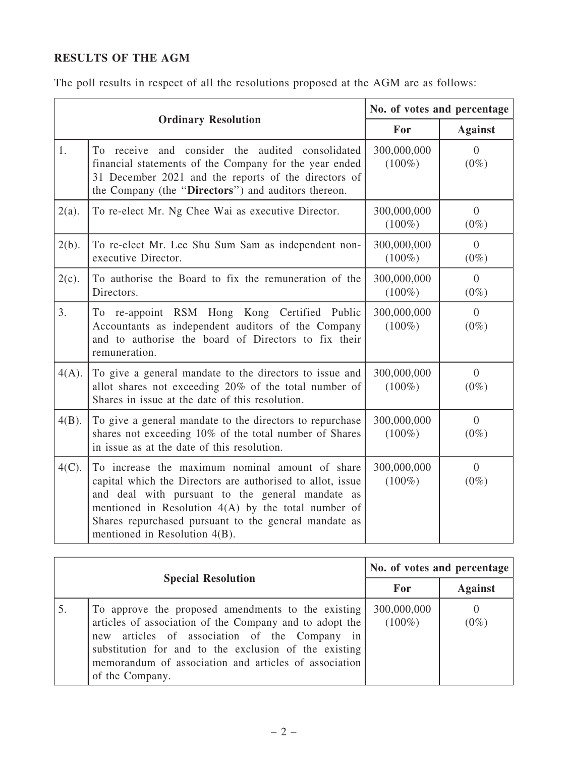## RESULTS OF THE AGM

The poll results in respect of all the resolutions proposed at the AGM are as follows:

| <b>Ordinary Resolution</b> |                                                                                                                                                                                                                                                                                                                      | No. of votes and percentage |                           |
|----------------------------|----------------------------------------------------------------------------------------------------------------------------------------------------------------------------------------------------------------------------------------------------------------------------------------------------------------------|-----------------------------|---------------------------|
|                            |                                                                                                                                                                                                                                                                                                                      | For                         | <b>Against</b>            |
| 1.                         | To receive and consider the audited consolidated<br>financial statements of the Company for the year ended<br>31 December 2021 and the reports of the directors of<br>the Company (the "Directors") and auditors thereon.                                                                                            | 300,000,000<br>$(100\%)$    | $\overline{0}$<br>$(0\%)$ |
| $2(a)$ .                   | To re-elect Mr. Ng Chee Wai as executive Director.                                                                                                                                                                                                                                                                   | 300,000,000<br>$(100\%)$    | $\overline{0}$<br>$(0\%)$ |
| $2(b)$ .                   | To re-elect Mr. Lee Shu Sum Sam as independent non-<br>executive Director.                                                                                                                                                                                                                                           | 300,000,000<br>$(100\%)$    | $\overline{0}$<br>$(0\%)$ |
| $2(c)$ .                   | To authorise the Board to fix the remuneration of the<br>Directors.                                                                                                                                                                                                                                                  | 300,000,000<br>$(100\%)$    | $\overline{0}$<br>$(0\%)$ |
| 3.                         | To re-appoint RSM Hong Kong Certified Public<br>Accountants as independent auditors of the Company<br>and to authorise the board of Directors to fix their<br>remuneration.                                                                                                                                          | 300,000,000<br>$(100\%)$    | $\overline{0}$<br>$(0\%)$ |
| $4(A)$ .                   | To give a general mandate to the directors to issue and<br>allot shares not exceeding 20% of the total number of<br>Shares in issue at the date of this resolution.                                                                                                                                                  | 300,000,000<br>$(100\%)$    | $\overline{0}$<br>$(0\%)$ |
| $4(B)$ .                   | To give a general mandate to the directors to repurchase<br>shares not exceeding 10% of the total number of Shares<br>in issue as at the date of this resolution.                                                                                                                                                    | 300,000,000<br>$(100\%)$    | $\overline{0}$<br>$(0\%)$ |
| $4(C)$ .                   | To increase the maximum nominal amount of share<br>capital which the Directors are authorised to allot, issue<br>and deal with pursuant to the general mandate as<br>mentioned in Resolution $4(A)$ by the total number of<br>Shares repurchased pursuant to the general mandate as<br>mentioned in Resolution 4(B). | 300,000,000<br>$(100\%)$    | $\overline{0}$<br>$(0\%)$ |

| <b>Special Resolution</b> |                                                                                                                                                                                                                                                                                                        | No. of votes and percentage |                |
|---------------------------|--------------------------------------------------------------------------------------------------------------------------------------------------------------------------------------------------------------------------------------------------------------------------------------------------------|-----------------------------|----------------|
|                           |                                                                                                                                                                                                                                                                                                        | For                         | <b>Against</b> |
| 5.                        | To approve the proposed amendments to the existing<br>articles of association of the Company and to adopt the<br>new articles of association of the Company<br>in<br>substitution for and to the exclusion of the existing<br>memorandum of association and articles of association<br>of the Company. | 300,000,000<br>$(100\%)$    | $(0\%)$        |